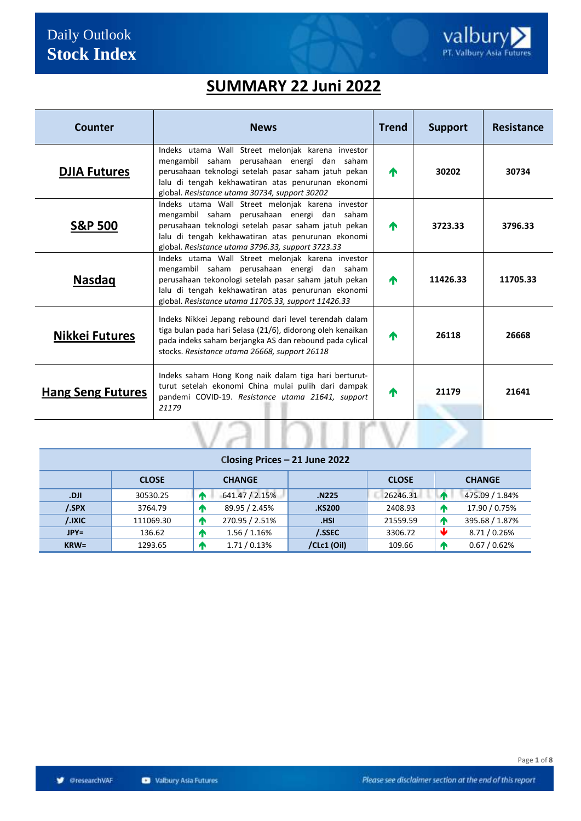## **SUMMARY 22 Juni 2022**

| <b>Counter</b>           | <b>News</b>                                                                                                                                                                                                                                                            | <b>Trend</b> | <b>Support</b> | Resistance |
|--------------------------|------------------------------------------------------------------------------------------------------------------------------------------------------------------------------------------------------------------------------------------------------------------------|--------------|----------------|------------|
| <b>DJIA Futures</b>      | Indeks utama Wall Street melonjak karena investor<br>mengambil saham perusahaan energi dan saham<br>perusahaan teknologi setelah pasar saham jatuh pekan<br>lalu di tengah kekhawatiran atas penurunan ekonomi<br>global. Resistance utama 30734, support 30202        | 小            | 30202          | 30734      |
| <b>S&amp;P 500</b>       | Indeks utama Wall Street melonjak karena investor<br>mengambil saham perusahaan energi dan saham<br>perusahaan teknologi setelah pasar saham jatuh pekan<br>lalu di tengah kekhawatiran atas penurunan ekonomi<br>global. Resistance utama 3796.33, support 3723.33    | 小            | 3723.33        | 3796.33    |
| <b>Nasdaq</b>            | Indeks utama Wall Street melonjak karena investor<br>mengambil saham perusahaan energi dan saham<br>perusahaan tekonologi setelah pasar saham jatuh pekan<br>lalu di tengah kekhawatiran atas penurunan ekonomi<br>global. Resistance utama 11705.33, support 11426.33 | 不            | 11426.33       | 11705.33   |
| <b>Nikkei Futures</b>    | Indeks Nikkei Jepang rebound dari level terendah dalam<br>tiga bulan pada hari Selasa (21/6), didorong oleh kenaikan<br>pada indeks saham berjangka AS dan rebound pada cylical<br>stocks. Resistance utama 26668, support 26118                                       | 小            | 26118          | 26668      |
| <b>Hang Seng Futures</b> | Indeks saham Hong Kong naik dalam tiga hari berturut-<br>turut setelah ekonomi China mulai pulih dari dampak<br>pandemi COVID-19. Resistance utama 21641, support<br>21179                                                                                             | 小            | 21179          | 21641      |
|                          |                                                                                                                                                                                                                                                                        |              |                |            |

| Closing Prices - 21 June 2022 |              |             |                |             |              |  |                |  |  |
|-------------------------------|--------------|-------------|----------------|-------------|--------------|--|----------------|--|--|
|                               | <b>CLOSE</b> |             | <b>CHANGE</b>  |             | <b>CLOSE</b> |  | <b>CHANGE</b>  |  |  |
| Ild.                          | 30530.25     | <b>Let</b>  | 641.47 / 2.15% | N225.       | 26246.31     |  | 475.09 / 1.84% |  |  |
| /.SPX                         | 3764.79      | <b>A</b>    | 89.95 / 2.45%  | KS200.      | 2408.93      |  | 17.90 / 0.75%  |  |  |
| /.IXIC                        | 111069.30    | Æ           | 270.95 / 2.51% | .HSI        | 21559.59     |  | 395.68 / 1.87% |  |  |
| $JPY=$                        | 136.62       | <b>LAN</b>  | 1.56 / 1.16%   | /.SSEC      | 3306.72      |  | 8.71 / 0.26%   |  |  |
| $KRW=$                        | 1293.65      | $\mathbf T$ | 1.71/0.13%     | /CLc1 (Oil) | 109.66       |  | 0.67 / 0.62%   |  |  |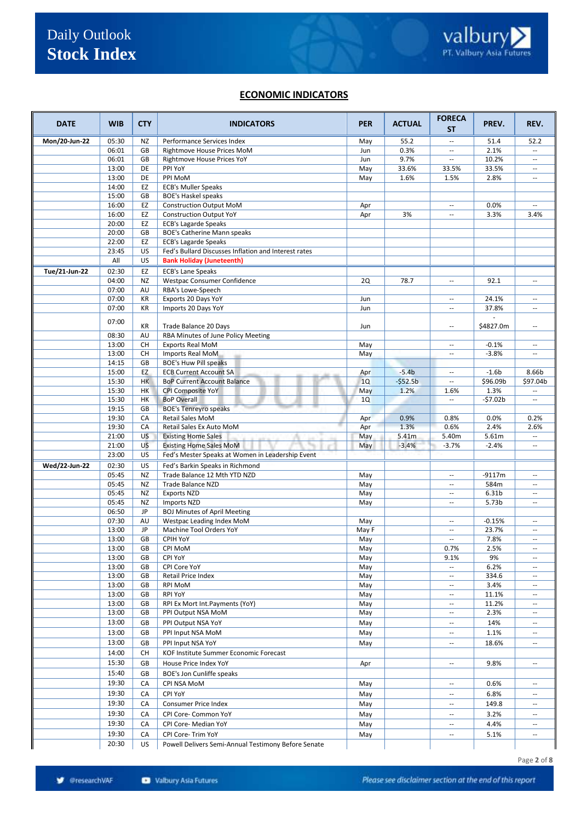#### **ECONOMIC INDICATORS**

| <b>DATE</b>   | <b>WIB</b>     | <b>CTY</b> | <b>INDICATORS</b>                                     | <b>PER</b> | <b>ACTUAL</b> | <b>FORECA</b><br>SΤ            | PREV.         | REV.                                                 |
|---------------|----------------|------------|-------------------------------------------------------|------------|---------------|--------------------------------|---------------|------------------------------------------------------|
| Mon/20-Jun-22 | 05:30          | NZ         | Performance Services Index                            | May        | 55.2          | $\overline{a}$                 | 51.4          | 52.2                                                 |
|               | 06:01          | GB         | Rightmove House Prices MoM                            | Jun        | 0.3%          | --                             | 2.1%          |                                                      |
|               | 06:01          | GB         | Rightmove House Prices YoY                            | Jun        | 9.7%          | $\overline{\phantom{a}}$       | 10.2%         | $\overline{\phantom{a}}$                             |
|               | 13:00          | DE         | PPI YoY                                               | May        | 33.6%         | 33.5%                          | 33.5%         | $\overline{\phantom{a}}$                             |
|               | 13:00          | DE         | PPI MoM                                               | May        | 1.6%          | 1.5%                           | 2.8%          | $\overline{\phantom{a}}$                             |
|               | 14:00          | EZ         | <b>ECB's Muller Speaks</b>                            |            |               |                                |               |                                                      |
|               | 15:00          | GB         | <b>BOE's Haskel speaks</b>                            |            |               |                                |               |                                                      |
|               | 16:00          | EZ         | <b>Construction Output MoM</b>                        | Apr        |               | $\sim$                         | 0.0%          | $\mathbf{u}$                                         |
|               | 16:00          | EZ         | <b>Construction Output YoY</b>                        | Apr        | 3%            | $\overline{\phantom{a}}$       | 3.3%          | 3.4%                                                 |
|               | 20:00          | EZ         | <b>ECB's Lagarde Speaks</b>                           |            |               |                                |               |                                                      |
|               | 20:00          | GB         | BOE's Catherine Mann speaks                           |            |               |                                |               |                                                      |
|               | 22:00          | EZ         | <b>ECB's Lagarde Speaks</b>                           |            |               |                                |               |                                                      |
|               | 23:45          | US         | Fed's Bullard Discusses Inflation and Interest rates  |            |               |                                |               |                                                      |
|               | All            | US         | <b>Bank Holiday (Juneteenth)</b>                      |            |               |                                |               |                                                      |
| Tue/21-Jun-22 | 02:30          | EZ         | <b>ECB's Lane Speaks</b>                              |            |               |                                |               |                                                      |
|               | 04:00          | <b>NZ</b>  | Westpac Consumer Confidence                           | <b>2Q</b>  | 78.7          | $\overline{\phantom{a}}$       | 92.1          | $\sim$                                               |
|               | 07:00          | AU         | RBA's Lowe-Speech                                     |            |               |                                |               |                                                      |
|               | 07:00          | KR         | Exports 20 Days YoY                                   | Jun        |               | $\sim$                         | 24.1%         | $\sim$                                               |
|               | 07:00          | KR         | Imports 20 Days YoY                                   | Jun        |               | $\sim$                         | 37.8%         | $\sim$                                               |
|               | 07:00          | KR         | Trade Balance 20 Days                                 | Jun        |               | $\overline{a}$                 | \$4827.0m     | $\sim$                                               |
|               | 08:30          | AU         | RBA Minutes of June Policy Meeting                    |            |               |                                |               |                                                      |
|               | 13:00          | CH         | <b>Exports Real MoM</b>                               | May        |               | $\overline{\phantom{a}}$       | $-0.1%$       | $\mathbf{u}$                                         |
|               | 13:00          | СH         | Imports Real MoM                                      | May        |               | $\overline{\phantom{a}}$       | $-3.8%$       | $\overline{\phantom{a}}$                             |
|               | 14:15          | GB         | <b>BOE's Huw Pill speaks</b>                          |            |               |                                |               |                                                      |
|               | 15:00          | EZ         | <b>ECB Current Account SA</b>                         | Apr        | $-5.4b$       | $\overline{\phantom{a}}$       | $-1.6b$       | 8.66b                                                |
|               | 15:30          | <b>HK</b>  | <b>BoP Current Account Balance</b>                    | 1Q         | $-552.5b$     | $\overline{\phantom{a}}$       | \$96.09b      | \$97.04b                                             |
|               | 15:30          | HK         | CPI Composite YoY                                     | May        | 1.2%          | 1.6%                           | 1.3%          |                                                      |
|               | 15:30          | HK         | <b>BoP Overall</b>                                    | 1Q         |               | --                             | $-57.02b$     | $\overline{\phantom{a}}$                             |
|               | 19:15          | GB         | <b>BOE's Tenreyro speaks</b>                          |            |               |                                |               |                                                      |
|               | 19:30          | CA         | Retail Sales MoM                                      | Apr        | 0.9%          | 0.8%                           | 0.0%          | 0.2%                                                 |
|               | 19:30          | CA         | Retail Sales Ex Auto MoM                              | Apr        | 1.3%          | 0.6%                           | 2.4%          | 2.6%                                                 |
|               | 21:00          | <b>US</b>  | <b>Existing Home Sales</b>                            | May        | 5.41m         | 5.40m                          | 5.61m         | u.                                                   |
|               | 21:00          | US         | <b>Existing Home Sales MoM</b>                        | May        | $-3.4%$       | $-3.7%$                        | $-2.4%$       | $\mathbf{u}$                                         |
|               | 23:00          | <b>US</b>  | Fed's Mester Speaks at Women in Leadership Event      |            |               |                                |               |                                                      |
| Wed/22-Jun-22 | 02:30          | US         | Fed's Barkin Speaks in Richmond                       |            |               |                                |               |                                                      |
|               | 05:45          | <b>NZ</b>  | Trade Balance 12 Mth YTD NZD                          | May        |               | $\sim$                         | $-9117m$      | $\sim$                                               |
|               | 05:45          | <b>NZ</b>  | Trade Balance NZD                                     | May        |               | $\sim$                         | 584m          | $\sim$                                               |
|               | 05:45          | <b>NZ</b>  | <b>Exports NZD</b>                                    | May        |               | $\overline{\phantom{a}}$       | 6.31b         | $\overline{\phantom{a}}$                             |
|               | 05:45          | NZ         | Imports NZD                                           | May        |               | $\sim$                         | 5.73b         | $\mathbf{u}$                                         |
|               | 06:50          | JP         | <b>BOJ Minutes of April Meeting</b>                   |            |               |                                |               |                                                      |
|               | 07:30          | AU         | Westpac Leading Index MoM                             | May        |               | $\sim$                         | $-0.15%$      | $\mathbf{u}$                                         |
|               | 13:00          | JP         | Machine Tool Orders YoY                               | May F      |               | $\overline{a}$                 | 23.7%         |                                                      |
|               | 13:00          | GB         | CPIH YoY                                              | May        |               | $\sim$                         | 7.8%          | $\mathbf{u}$                                         |
|               | 13:00          | GB         | CPI MoM                                               | May        |               | 0.7%                           | 2.5%          |                                                      |
|               | 13:00          | GB         | CPI YoY                                               | May        |               | 9.1%                           | 9%            | $\overline{\phantom{a}}$                             |
|               | 13:00          | GB         | CPI Core YoY                                          | May        |               | --                             | 6.2%          | $\overline{\phantom{a}}$                             |
|               | 13:00          | GB         | Retail Price Index                                    | May        |               | $\overline{\phantom{a}}$       | 334.6         | $\overline{\phantom{a}}$                             |
|               | 13:00          | GB         | RPI MoM                                               | May        |               | $\overline{\phantom{a}}$       | 3.4%          | $\overline{\phantom{a}}$                             |
|               | 13:00          | GB         | RPI YoY                                               | May        |               | $\overline{\phantom{a}}$       | 11.1%         | $\overline{\phantom{a}}$                             |
|               | 13:00<br>13:00 | GB<br>GB   | RPI Ex Mort Int. Payments (YoY)<br>PPI Output NSA MoM | May<br>May |               | $\overline{\phantom{a}}$<br>-- | 11.2%<br>2.3% | $\overline{\phantom{a}}$<br>$\overline{\phantom{a}}$ |
|               | 13:00          |            |                                                       |            |               | $\overline{\phantom{a}}$       |               | $\overline{a}$                                       |
|               |                | GB         | PPI Output NSA YoY                                    | May        |               |                                | 14%           |                                                      |
|               | 13:00          | GB         | PPI Input NSA MoM                                     | May        |               | $\overline{\phantom{a}}$       | 1.1%          | $\overline{\phantom{a}}$                             |
|               | 13:00          | GB         | PPI Input NSA YoY                                     | May        |               | $\overline{\phantom{a}}$       | 18.6%         | $\overline{\phantom{a}}$                             |
|               | 14:00          | СH         | KOF Institute Summer Economic Forecast                |            |               |                                |               |                                                      |
|               | 15:30          | GB         | House Price Index YoY                                 | Apr        |               | $\overline{\phantom{a}}$       | 9.8%          | $\overline{\phantom{a}}$                             |
|               | 15:40          | GB         | BOE's Jon Cunliffe speaks                             |            |               |                                |               |                                                      |
|               | 19:30          | CA         | CPI NSA MoM                                           | May        |               | $\overline{\phantom{a}}$       | 0.6%          | $\overline{\phantom{a}}$                             |
|               | 19:30          | CA         | CPI YoY                                               | May        |               | $\overline{\phantom{a}}$       | 6.8%          | $\overline{\phantom{a}}$                             |
|               | 19:30          | CA         | Consumer Price Index                                  | May        |               | $\overline{\phantom{a}}$       | 149.8         | $\overline{\phantom{a}}$                             |
|               | 19:30          | CA         | CPI Core- Common YoY                                  | May        |               | $\overline{\phantom{a}}$       | 3.2%          | $\overline{\phantom{a}}$                             |
|               | 19:30          | CA         | CPI Core- Median YoY                                  | May        |               | $\overline{\phantom{a}}$       | 4.4%          | $\overline{\phantom{a}}$                             |
|               | 19:30          | CA         | CPI Core- Trim YoY                                    | May        |               | --                             | 5.1%          | $\overline{\phantom{a}}$                             |
|               | 20:30          | US         | Powell Delivers Semi-Annual Testimony Before Senate   |            |               |                                |               |                                                      |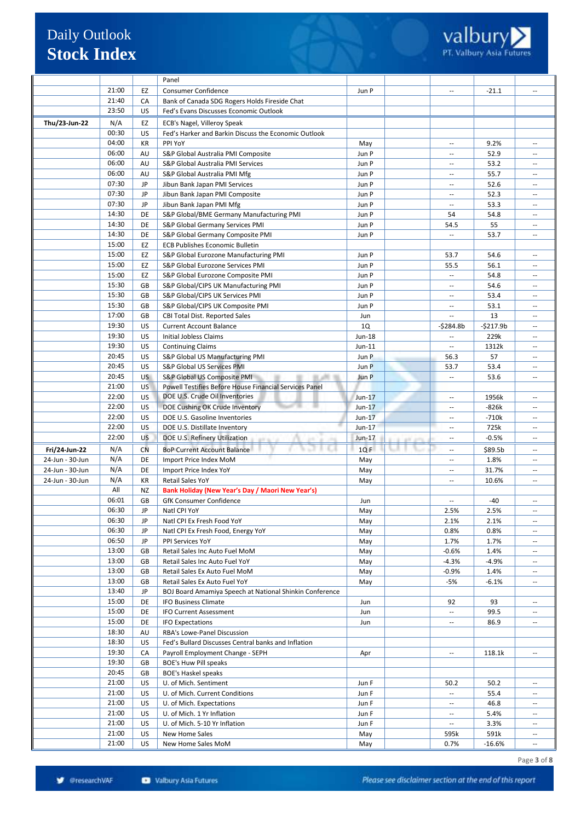|                 |                |                  | Panel                                                                                                |                |                                    |              |                                                      |
|-----------------|----------------|------------------|------------------------------------------------------------------------------------------------------|----------------|------------------------------------|--------------|------------------------------------------------------|
|                 | 21:00          | EZ               | <b>Consumer Confidence</b>                                                                           | Jun P          |                                    | $-21.1$      |                                                      |
|                 | 21:40          | CA               | Bank of Canada SDG Rogers Holds Fireside Chat                                                        |                |                                    |              |                                                      |
|                 | 23:50          | US               | Fed's Evans Discusses Economic Outlook                                                               |                |                                    |              |                                                      |
| Thu/23-Jun-22   | N/A            | EZ               | ECB's Nagel, Villeroy Speak                                                                          |                |                                    |              |                                                      |
|                 | 00:30          | US               | Fed's Harker and Barkin Discuss the Economic Outlook                                                 |                |                                    |              |                                                      |
|                 | 04:00          | KR               | PPI YoY                                                                                              | May            | $\overline{a}$                     | 9.2%         |                                                      |
|                 | 06:00          | AU               | S&P Global Australia PMI Composite                                                                   | Jun P          | $\overline{\phantom{a}}$           | 52.9         | $\overline{\phantom{a}}$                             |
|                 | 06:00          | AU               | S&P Global Australia PMI Services                                                                    | Jun P          | $\sim$                             | 53.2         | $\sim$                                               |
|                 | 06:00          | AU               | S&P Global Australia PMI Mfg                                                                         | Jun P          | $\overline{\phantom{a}}$           | 55.7         | $\overline{\phantom{a}}$                             |
|                 | 07:30          | JP               | Jibun Bank Japan PMI Services                                                                        | Jun P          | $\overline{\phantom{a}}$           | 52.6         | $\sim$                                               |
|                 | 07:30<br>07:30 | JP               | Jibun Bank Japan PMI Composite<br>Jibun Bank Japan PMI Mfg                                           | Jun P          | $\sim$<br>$\overline{\phantom{a}}$ | 52.3         | $\sim$ $\sim$<br>$\sim$                              |
|                 | 14:30          | JP<br>DE         | S&P Global/BME Germany Manufacturing PMI                                                             | Jun P<br>Jun P | 54                                 | 53.3<br>54.8 | $\sim$                                               |
|                 | 14:30          | DE               | S&P Global Germany Services PMI                                                                      | Jun P          | 54.5                               | 55           | $\sim$                                               |
|                 | 14:30          | DE               | S&P Global Germany Composite PMI                                                                     | Jun P          | $\overline{\phantom{a}}$           | 53.7         | $\sim$                                               |
|                 | 15:00          | EZ               | <b>ECB Publishes Economic Bulletin</b>                                                               |                |                                    |              |                                                      |
|                 | 15:00          | EZ               | S&P Global Eurozone Manufacturing PMI                                                                | Jun P          | 53.7                               | 54.6         | $\sim$                                               |
|                 | 15:00          | EZ               | S&P Global Eurozone Services PMI                                                                     | Jun P          | 55.5                               | 56.1         | $\sim$                                               |
|                 | 15:00          | EZ               | S&P Global Eurozone Composite PMI                                                                    | Jun P          | $\overline{\phantom{a}}$           | 54.8         | $\overline{\phantom{a}}$                             |
|                 | 15:30          | GB               | S&P Global/CIPS UK Manufacturing PMI                                                                 | Jun P          | $\sim$                             | 54.6         | $\sim$                                               |
|                 | 15:30          | GB               | S&P Global/CIPS UK Services PMI                                                                      | Jun P          | $\overline{\phantom{a}}$           | 53.4         |                                                      |
|                 | 15:30          | GB               | S&P Global/CIPS UK Composite PMI                                                                     | Jun P          | $\hspace{0.05cm} -\hspace{0.05cm}$ | 53.1         | $\overline{\phantom{a}}$                             |
|                 | 17:00          | GB               | CBI Total Dist. Reported Sales                                                                       | Jun            |                                    | 13           | $\overline{\phantom{a}}$                             |
|                 | 19:30          | US               | <b>Current Account Balance</b>                                                                       | 1Q             | -\$284.8b                          | $-5217.9b$   | $\sim$                                               |
|                 | 19:30          | US               | <b>Initial Jobless Claims</b>                                                                        | Jun-18         | $\overline{\phantom{a}}$           | 229k         | $\overline{\phantom{a}}$                             |
|                 | 19:30          | US               | <b>Continuing Claims</b>                                                                             | $Jun-11$       | $\overline{\phantom{a}}$           | 1312k        | $\sim$ $\sim$                                        |
|                 | 20:45          | US               | S&P Global US Manufacturing PMI                                                                      | Jun P          | 56.3                               | 57           | $\sim$                                               |
|                 | 20:45<br>20:45 | US               | S&P Global US Services PMI                                                                           | Jun P          | 53.7<br>$\overline{\phantom{a}}$   | 53.4         | $\sim$<br>$\sim$ $\sim$                              |
|                 | 21:00          | US.<br><b>US</b> | S&P Global US Composite PMI<br>91, JPI 191<br>Powell Testifies Before House Financial Services Panel | Jun P          |                                    | 53.6         |                                                      |
|                 | 22:00          | US               | DOE U.S. Crude Oil Inventories                                                                       | $Jun-17$       | $\overline{\phantom{a}}$           | 1956k        | $\overline{\phantom{a}}$                             |
|                 | 22:00          | US               | DOE Cushing OK Crude Inventory                                                                       | $Jun-17$       | $\sim$                             | -826k        | $\overline{\phantom{a}}$                             |
|                 | 22:00          | US               | DOE U.S. Gasoline Inventories                                                                        | $Jun-17$       | $\sim$                             | $-710k$      | $\overline{\phantom{a}}$                             |
|                 | 22:00          | US               | DOE U.S. Distillate Inventory                                                                        | $Jun-17$       | $\overline{\phantom{a}}$           | 725k         | $\hspace{0.05cm} \ldots$                             |
|                 | 22:00          | <b>US</b>        | DOE U.S. Refinery Utilization                                                                        | Jun-17         | $\sim$                             | $-0.5%$      | $\sim$                                               |
| Fri/24-Jun-22   | N/A            | <b>CN</b>        | <b>BoP Current Account Balance</b>                                                                   | 1QF            | $\sim$                             | \$89.5b      | $\sim$                                               |
| 24-Jun - 30-Jun | N/A            | DE               | Import Price Index MoM                                                                               | May            | $\overline{\phantom{a}}$           | 1.8%         | $\overline{\phantom{a}}$                             |
| 24-Jun - 30-Jun | N/A            | DE               | Import Price Index YoY                                                                               | May            | $\overline{\phantom{a}}$           | 31.7%        | $\overline{a}$                                       |
| 24-Jun - 30-Jun | N/A            | KR               | Retail Sales YoY                                                                                     | May            | $\overline{\phantom{a}}$           | 10.6%        | $\overline{\phantom{a}}$                             |
|                 | All            | NZ               | Bank Holiday (New Year's Day / Maori New Year's)                                                     |                |                                    |              |                                                      |
|                 | 06:01          | GB               | GfK Consumer Confidence                                                                              | Jun            |                                    | $-40$        | $\overline{\phantom{a}}$                             |
|                 | 06:30          | JP               | Natl CPI YoY                                                                                         | May            | 2.5%                               | 2.5%         |                                                      |
|                 | 06:30          | JP               | Natl CPI Ex Fresh Food YoY                                                                           | May            | 2.1%                               | 2.1%         | $\hspace{0.05cm} \ldots$                             |
|                 | 06:30          | JP               | Natl CPI Ex Fresh Food, Energy YoY                                                                   | May            | 0.8%                               | 0.8%         |                                                      |
|                 | 06:50<br>13:00 | JP<br>GB         | PPI Services YoY<br>Retail Sales Inc Auto Fuel MoM                                                   | May            | 1.7%<br>$-0.6%$                    | 1.7%<br>1.4% | $\overline{\phantom{a}}$                             |
|                 | 13:00          | GB               | Retail Sales Inc Auto Fuel YoY                                                                       | May<br>May     | $-4.3%$                            | $-4.9%$      | $\overline{\phantom{a}}$<br>$\overline{\phantom{a}}$ |
|                 | 13:00          | GB               | Retail Sales Ex Auto Fuel MoM                                                                        | May            | $-0.9%$                            | 1.4%         | $\overline{\phantom{a}}$                             |
|                 | 13:00          | GB               | Retail Sales Ex Auto Fuel YoY                                                                        | May            | -5%                                | $-6.1%$      | $\overline{\phantom{a}}$                             |
|                 | 13:40          | JP               | BOJ Board Amamiya Speech at National Shinkin Conference                                              |                |                                    |              |                                                      |
|                 | 15:00          | DE               | <b>IFO Business Climate</b>                                                                          | Jun            | 92                                 | 93           | $\overline{\phantom{a}}$                             |
|                 | 15:00          | DE               | IFO Current Assessment                                                                               | Jun            |                                    | 99.5         |                                                      |
|                 | 15:00          | DE               | <b>IFO Expectations</b>                                                                              | Jun            | $\overline{\phantom{a}}$           | 86.9         | $\overline{\phantom{a}}$                             |
|                 | 18:30          | AU               | RBA's Lowe-Panel Discussion                                                                          |                |                                    |              |                                                      |
|                 | 18:30          | US               | Fed's Bullard Discusses Central banks and Inflation                                                  |                |                                    |              |                                                      |
|                 | 19:30          | CA               | Payroll Employment Change - SEPH                                                                     | Apr            |                                    | 118.1k       |                                                      |
|                 | 19:30          | GB               | BOE's Huw Pill speaks                                                                                |                |                                    |              |                                                      |
|                 | 20:45          | GB               | <b>BOE's Haskel speaks</b>                                                                           |                |                                    |              |                                                      |
|                 | 21:00          | US               | U. of Mich. Sentiment                                                                                | Jun F          | 50.2                               | 50.2         | $\overline{\phantom{a}}$                             |
|                 | 21:00<br>21:00 | US<br>US         | U. of Mich. Current Conditions                                                                       | Jun F          | $\overline{\phantom{a}}$           | 55.4<br>46.8 | $\overline{\phantom{a}}$                             |
|                 | 21:00          | US               | U. of Mich. Expectations<br>U. of Mich. 1 Yr Inflation                                               | Jun F<br>Jun F | $\overline{\phantom{a}}$           | 5.4%         | $\overline{\phantom{a}}$                             |
|                 | 21:00          | US               | U. of Mich. 5-10 Yr Inflation                                                                        | Jun F          | $\overline{\phantom{a}}$           | 3.3%         | $\overline{\phantom{a}}$                             |
|                 | 21:00          | US               | New Home Sales                                                                                       | May            | 595k                               | 591k         | $\hspace{0.05cm} \ldots$                             |
|                 | 21:00          | US               | New Home Sales MoM                                                                                   | May            | 0.7%                               | $-16.6%$     | $\overline{\phantom{a}}$                             |
|                 |                |                  |                                                                                                      |                |                                    |              |                                                      |

Page **3** of **8**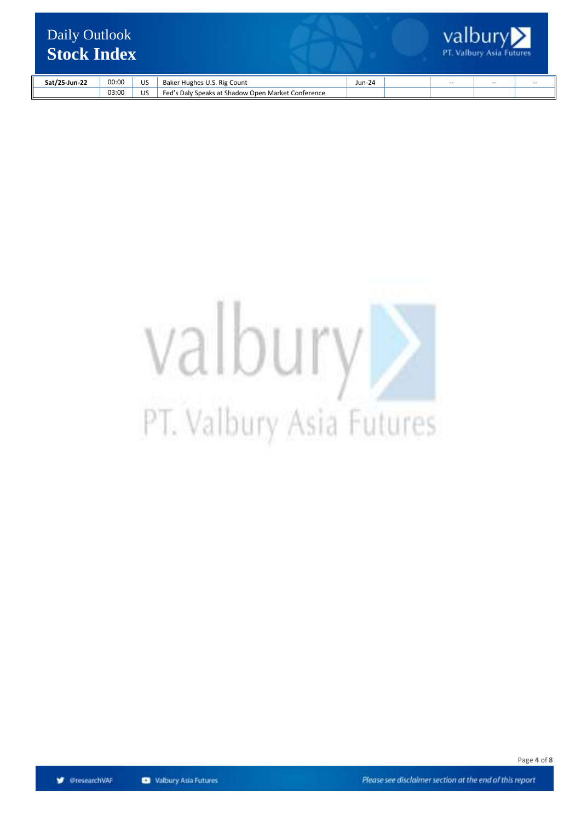

| Sat/25-Jun-22 | 00:00 | US | Hughes U.S.<br>Rig<br>Count                                          | $Jun-24$ | $\sim$ | $\sim$ $\sim$ | $\sim$ $\sim$ |
|---------------|-------|----|----------------------------------------------------------------------|----------|--------|---------------|---------------|
|               | 03:00 | JS | ' Speaks at Shadow Open Market Co.<br>Fed'<br>Conference<br>s Dalv'، |          |        |               |               |

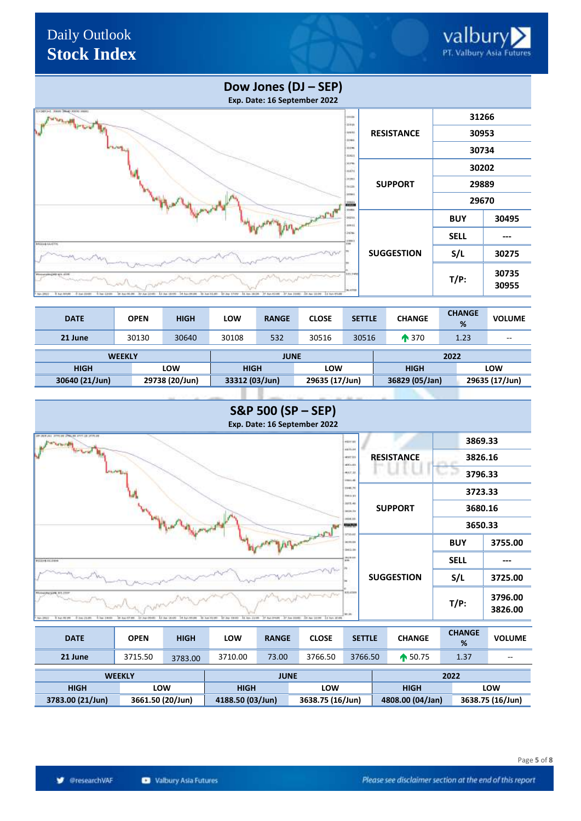# Valbury

## Daily Outlook **Stock Index**

### **Dow Jones (DJ – SEP)**

**Exp. Date: 16 September 2022**



| 21 June        |  |  |
|----------------|--|--|
|                |  |  |
| <b>WEEKLY</b>  |  |  |
| <b>HIGH</b>    |  |  |
| 30640 (21/Jun) |  |  |
|                |  |  |



| 21 June                      | 3715.50          | 3783.00 | 3710.00          | 73.00 | 3766.50          | 3766.50 | $\bullet$ 50.75  | 1.37 | $-$              |
|------------------------------|------------------|---------|------------------|-------|------------------|---------|------------------|------|------------------|
| <b>WEEKLY</b><br><b>JUNE</b> |                  |         |                  |       |                  |         |                  | 2022 |                  |
| <b>HIGH</b>                  | <b>LOW</b>       |         | <b>HIGH</b>      |       | <b>LOW</b>       |         | <b>HIGH</b>      |      | LOW              |
| 3783.00 (21/Jun)             | 3661.50 (20/Jun) |         | 4188.50 (03/Jun) |       | 3638.75 (16/Jun) |         | 4808.00 (04/Jan) |      | 3638.75 (16/Jun) |

**S** @researchVAF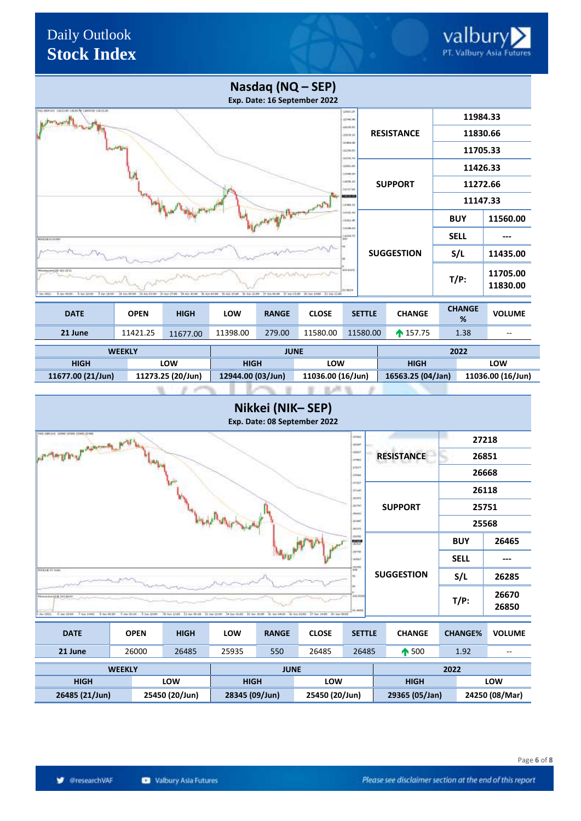#### **Nasdaq (NQ – SEP) Exp. Date: 16 September 2022 11984.33** .<br>Desem **RESISTANCE 11830.66** inisi .<br>... **11705.33** ..... .... **11426.33** .<br>Izvori ins. **SUPPORT 11272.66** @researchvaf ini. **11147.33** iii i **BUY 11560.00**  $_{\text{rms}}$ nies **SELL --** ise **SUGGESTION S/L 11435.00 T/P: 11705.00 11830.00 DATE OPEN HIGH LOW RANGE CLOSE SETTLE CHANGE CHANGE VOLUME % 21 June** 11421.25 11677.00 11398.00 279.00 11580.00 11580.00 157.75 1.38 -- **WEEKLY JUNE 2022 HIGH LOW HIGH LOW HIGH LOW 11677.00 (21/Jun) 11273.25 (20/Jun) 12944.00 (03/Jun) 11036.00 (16/Jun) 16563.25 (04/Jan) 11036.00 (16/Jun)** or Lett **Nikkei (NIK– SEP) Exp. Date: 08 September 2022 27218** وقا التسامم **RESISTANCE 26851** u, **26668** ı. @researchvaf **26118** i. e.<br>Kiri **SUPPORT 25751** h<sub>ut</sub> úм **25568 BUY 26465** e **SELL --** i. **SUGGESTION S/L 26285 T/P: <sup>26670</sup> 26850**  $\overline{11.54}$ **DATE OPEN HIGH LOW RANGE CLOSE SETTLE CHANGE CHANGE% VOLUME**

| 21 June               | 26000 | 26485          | 25935          | 550                | 26485          | 26485       | 500            | 1.92 | $- -$          |
|-----------------------|-------|----------------|----------------|--------------------|----------------|-------------|----------------|------|----------------|
| JUNE<br><b>WEEKLY</b> |       |                |                |                    |                |             |                | 2022 |                |
| <b>HIGH</b>           |       | LOW            |                | <b>HIGH</b><br>LOW |                | <b>HIGH</b> |                | LOW  |                |
| 26485 (21/Jun)        |       | 25450 (20/Jun) | 28345 (09/Jun) |                    | 25450 (20/Jun) |             | 29365 (05/Jan) |      | 24250 (08/Mar) |

Page **6** of **8**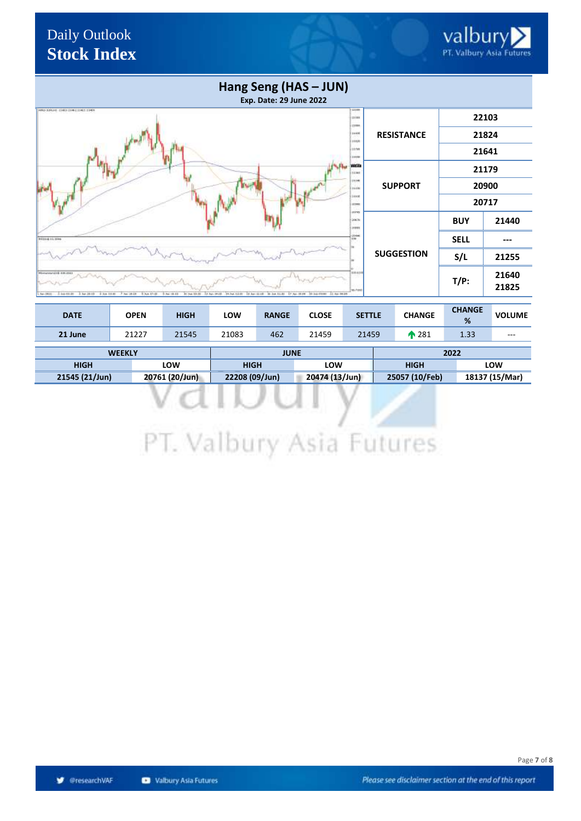| Hang Seng (HAS - JUN)<br><b>Exp. Date: 29 June 2022</b>                                                                                                                                                                                                                                                                     |                   |             |                |
|-----------------------------------------------------------------------------------------------------------------------------------------------------------------------------------------------------------------------------------------------------------------------------------------------------------------------------|-------------------|-------------|----------------|
| 33246<br>HAD-3JALIG CHEELER [1141] 1149<br>12188<br><b>CYRRS</b>                                                                                                                                                                                                                                                            |                   |             | 22103          |
| 14,836<br><b>HEUR</b>                                                                                                                                                                                                                                                                                                       | <b>RESISTANCE</b> | 21824       |                |
| 11:56<br>100.00                                                                                                                                                                                                                                                                                                             |                   |             | 21641          |
| WER<br>14,941                                                                                                                                                                                                                                                                                                               |                   | 21179       |                |
| 11046<br>11,039                                                                                                                                                                                                                                                                                                             | <b>SUPPORT</b>    | 20900       |                |
| 36840<br>acone<br>apres                                                                                                                                                                                                                                                                                                     |                   |             | 20717          |
| 2003).<br><b>JOSES</b>                                                                                                                                                                                                                                                                                                      |                   | <b>BUY</b>  | 21440          |
| $\frac{d\lambda}{1+2\lambda}$<br>9/03/14 11:30 kg                                                                                                                                                                                                                                                                           |                   | <b>SELL</b> |                |
|                                                                                                                                                                                                                                                                                                                             | <b>SUGGESTION</b> | S/L         | 21255          |
| \$30,919<br><b>Romanyound Edit Edit (Edit)</b><br><b>W-Futub</b><br>TO but \$20.00 . \$2 has \$2.00 . \$6 has \$11.00 . \$7 has \$2.00 . \$2.00 front \$2.00 per \$8.00.<br>Revi 20022<br>2.446 RE-80<br>-1. bar. 25.48<br>1 5.6 1 8.8 L<br>7 Apr 19 18<br>R. Nov. 17 - 18<br>0.5m 14:13<br>13 No. 14 OF<br>B1 3ml 12t fli- |                   | $T/P$ :     | 21640<br>21825 |

| <b>DATE</b>    | <b>OPEN</b> | <b>HIGH</b>    | LOW   | <b>RANGE</b>                     | <b>CLOSE</b> | <b>SETTLE</b> |                | <b>CHANGE</b>   | <b>CHANGE</b><br>% | <b>VOLUME</b> |
|----------------|-------------|----------------|-------|----------------------------------|--------------|---------------|----------------|-----------------|--------------------|---------------|
| 21 June        | 21227       | 21545          | 21083 | 462                              | 21459        | 21459         |                | $\triangle$ 281 | 1.33               | $- - -$       |
| <b>WEEKLY</b>  |             |                |       | <b>JUNE</b>                      |              |               |                |                 | 2022               |               |
| <b>HIGH</b>    |             | LOW            |       | <b>HIGH</b><br>LOW               |              | <b>HIGH</b>   |                |                 | LOW                |               |
| 21545 (21/Jun) |             | 20761 (20/Jun) |       | 22208 (09/Jun)<br>20474 (13/Jun) |              |               | 25057 (10/Feb) |                 | 18137 (15/Mar)     |               |

| <b>HIGH</b>    | LOW            | <b>HIGH</b>    | LOW            | <b>HIGH</b>    | LOW            |
|----------------|----------------|----------------|----------------|----------------|----------------|
| 21545 (21/Jun) | 20761 (20/Jun) | 22208 (09/Jun) | 20474 (13/Jun) | 25057 (10/Feb) | 18137 (15/Mar) |
|                |                |                |                |                |                |
|                |                |                |                |                |                |
|                |                |                |                |                |                |
|                |                |                |                |                |                |

## PT. Valbury Asia Futures